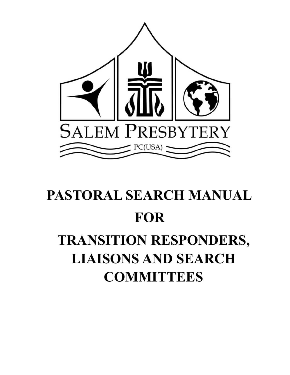

# **PASTORAL SEARCH MANUAL FOR TRANSITION RESPONDERS, LIAISONS AND SEARCH COMMITTEES**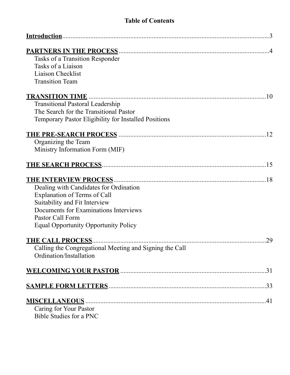# **Table of Contents**

| Tasks of a Transition Responder                         |
|---------------------------------------------------------|
| Tasks of a Liaison                                      |
| <b>Liaison Checklist</b>                                |
| <b>Transition Team</b>                                  |
|                                                         |
| <b>Transitional Pastoral Leadership</b>                 |
| The Search for the Transitional Pastor                  |
| Temporary Pastor Eligibility for Installed Positions    |
| 12                                                      |
| Organizing the Team                                     |
| Ministry Information Form (MIF)                         |
|                                                         |
| .18                                                     |
| Dealing with Candidates for Ordination                  |
| <b>Explanation of Terms of Call</b>                     |
| Suitability and Fit Interview                           |
| Documents for Examinations Interviews                   |
| Pastor Call Form                                        |
| <b>Equal Opportunity Opportunity Policy</b>             |
| .29                                                     |
| Calling the Congregational Meeting and Signing the Call |
| Ordination/Installation                                 |
| .31                                                     |
|                                                         |
|                                                         |
| Caring for Your Pastor                                  |
| <b>Bible Studies for a PNC</b>                          |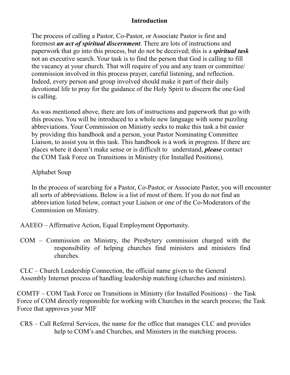# <span id="page-2-0"></span>**Introduction**

The process of calling a Pastor, Co-Pastor, or Associate Pastor is first and foremost *an act of spiritual discernment*. There are lots of instructions and paperwork that go into this process, but do not be deceived; this is a *spiritual task*  not an executive search. Your task is to find the person that God is calling to fill the vacancy at your church. That will require of you and any team or committee/ commission involved in this process prayer, careful listening, and reflection. Indeed, every person and group involved should make it part of their daily devotional life to pray for the guidance of the Holy Spirit to discern the one God is calling.

As was mentioned above, there are lots of instructions and paperwork that go with this process. You will be introduced to a whole new language with some puzzling abbreviations. Your Commission on Ministry seeks to make this task a bit easier by providing this handbook and a person, your Pastor Nominating Committee Liaison, to assist you in this task. This handbook is a work in progress. If there are places where it doesn't make sense or is difficult to understand, *please* contact the COM Task Force on Transitions in Ministry (for Installed Positions).

## Alphabet Soup

In the process of searching for a Pastor, Co-Pastor, or Associate Pastor, you will encounter all sorts of abbreviations. Below is a list of most of them. If you do not find an abbreviation listed below, contact your Liaison or one of the Co-Moderators of the Commission on Ministry.

AAEEO – Affirmative Action, Equal Employment Opportunity.

COM – Commission on Ministry, the Presbytery commission charged with the responsibility of helping churches find ministers and ministers find churches.

CLC – Church Leadership Connection, the official name given to the General Assembly Internet process of handling leadership matching (churches and ministers).

COMTF – COM Task Force on Transitions in Ministry (for Installed Positions) – the Task Force of COM directly responsible for working with Churches in the search process; the Task Force that approves your MIF

CRS – Call Referral Services, the name for the office that manages CLC and provides help to COM's and Churches, and Ministers in the matching process.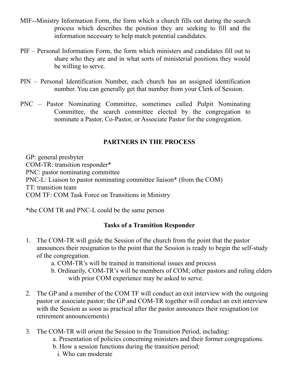- MIF--Ministry Information Form, the form which a church fills out during the search process which describes the position they are seeking to fill and the information necessary to help match potential candidates.
- PIF Personal Information Form, the form which ministers and candidates fill out to share who they are and in what sorts of ministerial positions they would be willing to serve.
- PIN Personal Identification Number, each church has an assigned identification number. You can generally get that number from your Clerk of Session.
- PNC Pastor Nominating Committee, sometimes called Pulpit Nominating Committee, the search committee elected by the congregation to nominate a Pastor, Co-Pastor, or Associate Pastor for the congregation.

# <span id="page-3-0"></span>**PARTNERS IN THE PROCESS**

GP: general presbyter COM-TR: transition responder\* PNC: pastor nominating committee PNC-L: Liaison to pastor nominating committee liaison\* (from the COM) TT: transition team COM TF: COM Task Force on Transitions in Ministry

\*the COM TR and PNC-L could be the same person

# **Tasks of a Transition Responder**

- 1. The COM-TR will guide the Session of the church from the point that the pastor announces their resignation to the point that the Session is ready to begin the self-study of the congregation.
	- a. COM-TR's will be trained in transitional issues and process
	- b. Ordinarily, COM-TR's will be members of COM; other pastors and ruling elders with prior COM experience may be asked to serve.
- 2. The GP and a member of the COM TF will conduct an exit interview with the outgoing pastor or associate pastor; the GP and COM-TR together will conduct an exit interview with the Session as soon as practical after the pastor announces their resignation (or retirement announcements)
- 3. The COM-TR will orient the Session to the Transition Period, including:
	- a. Presentation of policies concerning ministers and their former congregations.
	- b. How a session functions during the transition period:
		- i. Who can moderate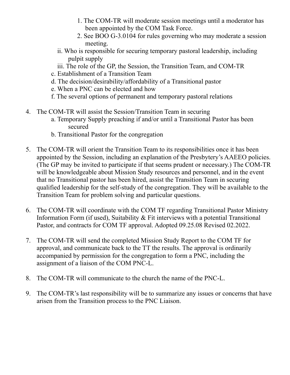- 1. The COM-TR will moderate session meetings until a moderator has been appointed by the COM Task Force.
- 2. See BOO G-3.0104 for rules governing who may moderate a session meeting.
- ii. Who is responsible for securing temporary pastoral leadership, including pulpit supply
- iii. The role of the GP, the Session, the Transition Team, and COM-TR
- c. Establishment of a Transition Team
- d. The decision/desirability/affordability of a Transitional pastor
- e. When a PNC can be elected and how
- f. The several options of permanent and temporary pastoral relations
- 4. The COM-TR will assist the Session/Transition Team in securing
	- a. Temporary Supply preaching if and/or until a Transitional Pastor has been secured
	- b. Transitional Pastor for the congregation
- 5. The COM-TR will orient the Transition Team to its responsibilities once it has been appointed by the Session, including an explanation of the Presbytery's AAEEO policies. (The GP may be invited to participate if that seems prudent or necessary.) The COM-TR will be knowledgeable about Mission Study resources and personnel, and in the event that no Transitional pastor has been hired, assist the Transition Team in securing qualified leadership for the self-study of the congregation. They will be available to the Transition Team for problem solving and particular questions.
- 6. The COM-TR will coordinate with the COM TF regarding Transitional Pastor Ministry Information Form (if used), Suitability & Fit interviews with a potential Transitional Pastor, and contracts for COM TF approval. Adopted 09.25.08 Revised 02.2022.
- 7. The COM-TR will send the completed Mission Study Report to the COM TF for approval, and communicate back to the TT the results. The approval is ordinarily accompanied by permission for the congregation to form a PNC, including the assignment of a liaison of the COM PNC-L.
- 8. The COM-TR will communicate to the church the name of the PNC-L.
- 9. The COM-TR's last responsibility will be to summarize any issues or concerns that have arisen from the Transition process to the PNC Liaison.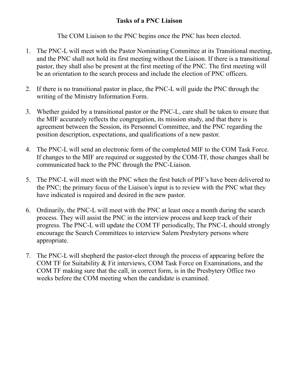# **Tasks of a PNC Liaison**

The COM Liaison to the PNC begins once the PNC has been elected.

- 1. The PNC-L will meet with the Pastor Nominating Committee at its Transitional meeting, and the PNC shall not hold its first meeting without the Liaison. If there is a transitional pastor, they shall also be present at the first meeting of the PNC. The first meeting will be an orientation to the search process and include the election of PNC officers.
- 2. If there is no transitional pastor in place, the PNC-L will guide the PNC through the writing of the Ministry Information Form.
- 3. Whether guided by a transitional pastor or the PNC-L, care shall be taken to ensure that the MIF accurately reflects the congregation, its mission study, and that there is agreement between the Session, its Personnel Committee, and the PNC regarding the position description, expectations, and qualifications of a new pastor.
- 4. The PNC-L will send an electronic form of the completed MIF to the COM Task Force. If changes to the MIF are required or suggested by the COM-TF, those changes shall be communicated back to the PNC through the PNC-Liaison.
- 5. The PNC-L will meet with the PNC when the first batch of PIF's have been delivered to the PNC; the primary focus of the Liaison's input is to review with the PNC what they have indicated is required and desired in the new pastor.
- 6. Ordinarily, the PNC-L will meet with the PNC at least once a month during the search process. They will assist the PNC in the interview process and keep track of their progress. The PNC-L will update the COM TF periodically, The PNC-L should strongly encourage the Search Committees to interview Salem Presbytery persons where appropriate.
- 7. The PNC-L will shepherd the pastor-elect through the process of appearing before the COM TF for Suitability & Fit interviews, COM Task Force on Examinations, and the COM TF making sure that the call, in correct form, is in the Presbytery Office two weeks before the COM meeting when the candidate is examined.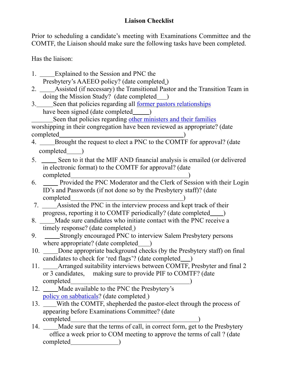Prior to scheduling a candidate's meeting with Examinations Committee and the COMTF, the Liaison should make sure the following tasks have been completed.

Has the liaison:

- 1. Explained to the Session and PNC the Presbytery's AAEEO policy? (date completed )
- 2. Assisted (if necessary) the Transitional Pastor and the Transition Team in doing the Mission Study? (date completed )
- 3. Seen that policies regarding all [former pastors relationships](https://www.salempresbytery.org/_files/ugd/0414f6_974a6268e58e4c2f94fcc4a247c42214.pdf) have been signed (date completed )

Seen that policies regarding [other ministers and their families](https://www.salempresbytery.org/_files/ugd/0414f6_974a6268e58e4c2f94fcc4a247c42214.pdf) worshipping in their congregation have been reviewed as appropriate? (date completed )

- 4. Brought the request to elect a PNC to the COMTF for approval? (date completed )
- 5. Seen to it that the MIF AND financial analysis is emailed (or delivered in electronic format) to the COMTF for approval? (date completed )
- 6. Provided the PNC Moderator and the Clerk of Session with their Login ID's and Passwords (if not done so by the Presbytery staff)? (date completed )
- 7. Assisted the PNC in the interview process and kept track of their progress, reporting it to COMTF periodically? (date completed )
- 8. Made sure candidates who initiate contact with the PNC receive a timely response? (date completed)
- 9. Strongly encouraged PNC to interview Salem Presbytery persons where appropriate? (date completed )
- 10. Done appropriate background checks (by the Presbytery staff) on final candidates to check for 'red flags'? (date completed )
- 11. Arranged suitability interviews between COMTF, Presbyter and final 2 or 3 candidates, making sure to provide PIF to COMTF? (date completed )
- 12. Made available to the PNC the Presbytery's [policy on sabbaticals](https://www.salempresbytery.org/_files/ugd/0414f6_2d1df44b3fa041a5897c58e52888d752.pdf)? (date completed)
- 13. With the COMTF, shepherded the pastor-elect through the process of appearing before Examinations Committee? (date completed )
- 14. Made sure that the terms of call, in correct form, get to the Presbytery office a week prior to COM meeting to approve the terms of call ? (date completed )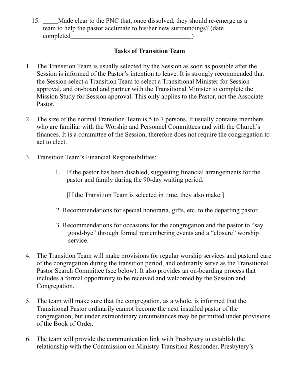15. Made clear to the PNC that, once dissolved, they should re-emerge as a team to help the pastor acclimate to his/her new surroundings? (date completed )

# **Tasks of Transition Team**

- 1. The Transition Team is usually selected by the Session as soon as possible after the Session is informed of the Pastor's intention to leave. It is strongly recommended that the Session select a Transition Team to select a Transitional Minister for Session approval, and on-board and partner with the Transitional Minister to complete the Mission Study for Session approval. This only applies to the Pastor, not the Associate Pastor.
- 2. The size of the normal Transition Team is 5 to 7 persons. It usually contains members who are familiar with the Worship and Personnel Committees and with the Church's finances. It is a committee of the Session, therefore does not require the congregation to act to elect.
- 3. Transition Team's Financial Responsibilities:
	- 1. If the pastor has been disabled, suggesting financial arrangements for the pastor and family during the 90-day waiting period.

[If the Transition Team is selected in time, they also make:]

- 2. Recommendations for special honoraria, gifts, etc. to the departing pastor.
- 3. Recommendations for occasions for the congregation and the pastor to "say good-bye" through formal remembering events and a "closure" worship service.
- 4. The Transition Team will make provisions for regular worship services and pastoral care of the congregation during the transition period, and ordinarily serve as the Transitional Pastor Search Committee (see below). It also provides an on-boarding process that includes a formal opportunity to be received and welcomed by the Session and Congregation.
- 5. The team will make sure that the congregation, as a whole, is informed that the Transitional Pastor ordinarily cannot become the next installed pastor of the congregation, but under extraordinary circumstances may be permitted under provisions of the Book of Order.
- 6. The team will provide the communication link with Presbytery to establish the relationship with the Commission on Ministry Transition Responder, Presbytery's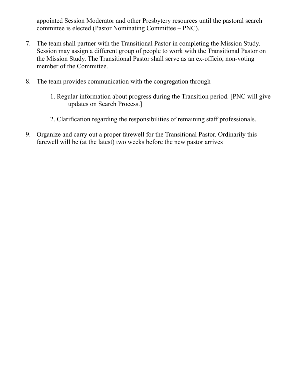appointed Session Moderator and other Presbytery resources until the pastoral search committee is elected (Pastor Nominating Committee – PNC).

- 7. The team shall partner with the Transitional Pastor in completing the Mission Study. Session may assign a different group of people to work with the Transitional Pastor on the Mission Study. The Transitional Pastor shall serve as an ex-officio, non-voting member of the Committee.
- 8. The team provides communication with the congregation through
	- 1. Regular information about progress during the Transition period. [PNC will give updates on Search Process.]
	- 2. Clarification regarding the responsibilities of remaining staff professionals.
- 9. Organize and carry out a proper farewell for the Transitional Pastor. Ordinarily this farewell will be (at the latest) two weeks before the new pastor arrives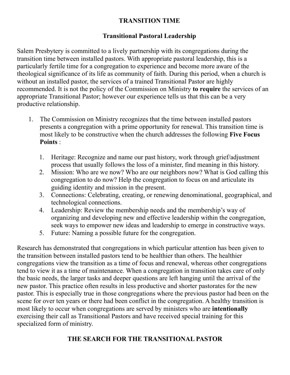# <span id="page-9-0"></span>**TRANSITION TIME**

# **Transitional Pastoral Leadership**

Salem Presbytery is committed to a lively partnership with its congregations during the transition time between installed pastors. With appropriate pastoral leadership, this is a particularly fertile time for a congregation to experience and become more aware of the theological significance of its life as community of faith. During this period, when a church is without an installed pastor, the services of a trained Transitional Pastor are highly recommended. It is not the policy of the Commission on Ministry **to require** the services of an appropriate Transitional Pastor; however our experience tells us that this can be a very productive relationship.

- 1. The Commission on Ministry recognizes that the time between installed pastors presents a congregation with a prime opportunity for renewal. This transition time is most likely to be constructive when the church addresses the following **Five Focus Points** :
	- 1. Heritage: Recognize and name our past history, work through grief/adjustment process that usually follows the loss of a minister, find meaning in this history.
	- 2. Mission: Who are we now? Who are our neighbors now? What is God calling this congregation to do now? Help the congregation to focus on and articulate its guiding identity and mission in the present.
	- 3. Connections: Celebrating, creating, or renewing denominational, geographical, and technological connections.
	- 4. Leadership: Review the membership needs and the membership's way of organizing and developing new and effective leadership within the congregation, seek ways to empower new ideas and leadership to emerge in constructive ways.
	- 5. Future: Naming a possible future for the congregation.

Research has demonstrated that congregations in which particular attention has been given to the transition between installed pastors tend to be healthier than others. The healthier congregations view the transition as a time of focus and renewal, whereas other congregations tend to view it as a time of maintenance. When a congregation in transition takes care of only the basic needs, the larger tasks and deeper questions are left hanging until the arrival of the new pastor. This practice often results in less productive and shorter pastorates for the new pastor. This is especially true in those congregations where the previous pastor had been on the scene for over ten years or there had been conflict in the congregation. A healthy transition is most likely to occur when congregations are served by ministers who are **intentionally**  exercising their call as Transitional Pastors and have received special training for this specialized form of ministry.

# **THE SEARCH FOR THE TRANSITIONAL PASTOR**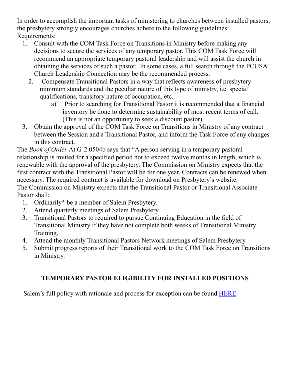In order to accomplish the important tasks of ministering to churches between installed pastors, the presbytery strongly encourages churches adhere to the following guidelines: Requirements:

- 1. Consult with the COM Task Force on Transitions in Ministry before making any decisions to secure the services of any temporary pastor. This COM Task Force will recommend an appropriate temporary pastoral leadership and will assist the church in obtaining the services of such a pastor. In some cases, a full search through the PCUSA Church Leadership Connection may be the recommended process.
	- 2. Compensate Transitional Pastors in a way that reflects awareness of presbytery minimum standards and the peculiar nature of this type of ministry, i.e. special qualifications, transitory nature of occupation, etc.
		- a) Prior to searching for Transitional Pastor it is recommended that a financial inventory be done to determine sustainability of most recent terms of call. (This is not an opportunity to seek a discount pastor)
- 3. Obtain the approval of the COM Task Force on Transitions in Ministry of any contract between the Session and a Transitional Pastor, and inform the Task Force of any changes in this contract.

The *Book of Order* At G-2.0504b says that "A person serving in a temporary pastoral relationship is invited for a specified period not to exceed twelve months in length, which is renewable with the approval of the presbytery. The Commission on Ministry expects that the first contract with the Transitional Pastor will be for one year. Contracts can be renewed when necessary. The required contract is available for download on Presbytery's website. The Commission on Ministry expects that the Transitional Pastor or Transitional Associate Pastor shall:

- 1. Ordinarily**\*** be a member of Salem Presbytery.
- 2. Attend quarterly meetings of Salem Presbytery.
- 3. Transitional Pastors to required to pursue Continuing Education in the field of Transitional Ministry if they have not complete both weeks of Transitional Ministry Training.
- 4. Attend the monthly Transitional Pastors Network meetings of Salem Presbytery.
- 5. Submit progress reports of their Transitional work to the COM Task Force on Transitions in Ministry.

# **TEMPORARY PASTOR ELIGIBILITY FOR INSTALLED POSITIONS**

Salem's full policy with rationale and process for exception can be found [HERE.](https://www.salempresbytery.org/_files/ugd/0414f6_eeed0d2fefe8478f8dcc3abd8639df94.pdf)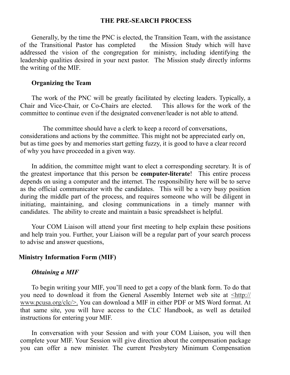#### <span id="page-11-0"></span>**THE PRE-SEARCH PROCESS**

Generally, by the time the PNC is elected, the Transition Team, with the assistance of the Transitional Pastor has completed the Mission Study which will have addressed the vision of the congregation for ministry, including identifying the leadership qualities desired in your next pastor. The Mission study directly informs the writing of the MIF.

#### **Organizing the Team**

The work of the PNC will be greatly facilitated by electing leaders. Typically, a Chair and Vice-Chair, or Co-Chairs are elected. This allows for the work of the committee to continue even if the designated convener/leader is not able to attend.

The committee should have a clerk to keep a record of conversations, considerations and actions by the committee. This might not be appreciated early on, but as time goes by and memories start getting fuzzy, it is good to have a clear record of why you have proceeded in a given way.

In addition, the committee might want to elect a corresponding secretary. It is of the greatest importance that this person be **computer-literate**! This entire process depends on using a computer and the internet. The responsibility here will be to serve as the official communicator with the candidates. This will be a very busy position during the middle part of the process, and requires someone who will be diligent in initiating, maintaining, and closing communications in a timely manner with candidates. The ability to create and maintain a basic spreadsheet is helpful.

Your COM Liaison will attend your first meeting to help explain these positions and help train you. Further, your Liaison will be a regular part of your search process to advise and answer questions,

#### **Ministry Information Form (MIF)**

#### *Obtaining a MIF*

To begin writing your MIF, you'll need to get a copy of the blank form. To do that you need to download it from the General Assembly Internet web site at [<http://](http://www.pcusa.org/clc/) [www.pcusa.org/clc/>.](http://www.pcusa.org/clc/) You can download a MIF in either PDF or MS Word format. At that same site, you will have access to the CLC Handbook, as well as detailed instructions for entering your MIF.

In conversation with your Session and with your COM Liaison, you will then complete your MIF. Your Session will give direction about the compensation package you can offer a new minister. The current Presbytery Minimum Compensation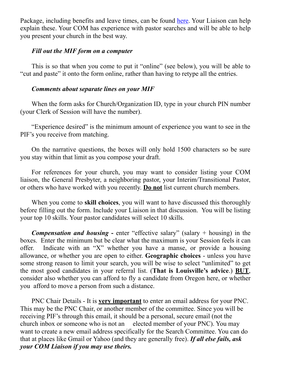Package, including benefits and leave times, can be found [here.](https://www.salempresbytery.org/_files/ugd/0414f6_7dca74b43c3c4eddb55512a702a3f947.pdf) Your Liaison can help explain these. Your COM has experience with pastor searches and will be able to help you present your church in the best way.

#### *Fill out the MIF form on a computer*

This is so that when you come to put it "online" (see below), you will be able to "cut and paste" it onto the form online, rather than having to retype all the entries.

#### *Comments about separate lines on your MIF*

When the form asks for Church/Organization ID, type in your church PIN number (your Clerk of Session will have the number).

"Experience desired" is the minimum amount of experience you want to see in the PIF's you receive from matching.

On the narrative questions, the boxes will only hold 1500 characters so be sure you stay within that limit as you compose your draft.

For references for your church, you may want to consider listing your COM liaison, the General Presbyter, a neighboring pastor, your Interim/Transitional Pastor, or others who have worked with you recently. **Do not** list current church members.

When you come to **skill choices**, you will want to have discussed this thoroughly before filling out the form. Include your Liaison in that discussion. You will be listing your top 10 skills. Your pastor candidates will select 10 skills.

*Compensation and housing* **-** enter "effective salary" (salary + housing) in the boxes. Enter the minimum but be clear what the maximum is your Session feels it can offer. Indicate with an "X" whether you have a manse, or provide a housing allowance, or whether you are open to either. **Geographic choices** - unless you have some strong reason to limit your search, you will be wise to select "unlimited" to get the most good candidates in your referral list. (**That is Louisville's advice**.) **BUT**, consider also whether you can afford to fly a candidate from Oregon here, or whether you afford to move a person from such a distance.

PNC Chair Details - It is **very important** to enter an email address for your PNC. This may be the PNC Chair, or another member of the committee. Since you will be receiving PIF's through this email, it should be a personal, secure email (not the church inbox or someone who is not an elected member of your PNC). You may want to create a new email address specifically for the Search Committee. You can do that at places like Gmail or Yahoo (and they are generally free). *If all else fails, ask your COM Liaison if you may use theirs.*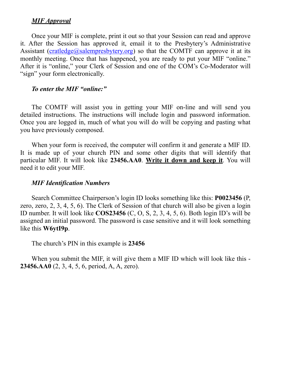### *MIF Approval*

Once your MIF is complete, print it out so that your Session can read and approve it. After the Session has approved it, email it to the Presbytery's Administrative Assistant [\(cratledge@salempresbytery.org](mailto:cratledge@salempresbytery.org)) so that the COMTF can approve it at its monthly meeting. Once that has happened, you are ready to put your MIF "online." After it is "online," your Clerk of Session and one of the COM's Co-Moderator will "sign" your form electronically.

#### *To enter the MIF "online:"*

The COMTF will assist you in getting your MIF on-line and will send you detailed instructions. The instructions will include login and password information. Once you are logged in, much of what you will do will be copying and pasting what you have previously composed.

When your form is received, the computer will confirm it and generate a MIF ID. It is made up of your church PIN and some other digits that will identify that particular MIF. It will look like **23456.AA0**. **Write it down and keep it**. You will need it to edit your MIF.

#### *MIF Identification Numbers*

Search Committee Chairperson's login ID looks something like this: **P0023456** (P, zero, zero, 2, 3, 4, 5, 6). The Clerk of Session of that church will also be given a login ID number. It will look like **COS23456** (C, O, S, 2, 3, 4, 5, 6). Both login ID's will be assigned an initial password. The password is case sensitive and it will look something like this **W6ytI9p**.

The church's PIN in this example is **23456**

When you submit the MIF, it will give them a MIF ID which will look like this - **23456.AA0** (2, 3, 4, 5, 6, period, A, A, zero).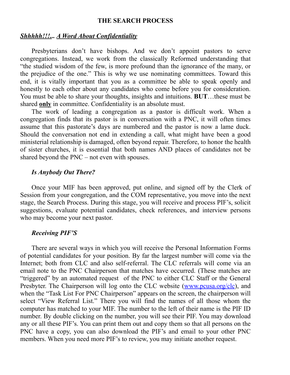#### <span id="page-14-0"></span>**THE SEARCH PROCESS**

#### *Shhhhh!!!... A Word About Confidentiality*

Presbyterians don't have bishops. And we don't appoint pastors to serve congregations. Instead, we work from the classically Reformed understanding that "the studied wisdom of the few, is more profound than the ignorance of the many, or the prejudice of the one." This is why we use nominating committees. Toward this end, it is vitally important that you as a committee be able to speak openly and honestly to each other about any candidates who come before you for consideration. You must be able to share your thoughts, insights and intuitions. **BUT**…these must be shared **only** in committee. Confidentiality is an absolute must.

The work of leading a congregation as a pastor is difficult work. When a congregation finds that its pastor is in conversation with a PNC, it will often times assume that this pastorate's days are numbered and the pastor is now a lame duck. Should the conversation not end in extending a call, what might have been a good ministerial relationship is damaged, often beyond repair. Therefore, to honor the health of sister churches, it is essential that both names AND places of candidates not be shared beyond the PNC – not even with spouses.

#### *Is Anybody Out There?*

Once your MIF has been approved, put online, and signed off by the Clerk of Session from your congregation, and the COM representative, you move into the next stage, the Search Process. During this stage, you will receive and process PIF's, solicit suggestions, evaluate potential candidates, check references, and interview persons who may become your next pastor.

#### *Receiving PIF'S*

There are several ways in which you will receive the Personal Information Forms of potential candidates for your position. By far the largest number will come via the Internet; both from CLC and also self-referral. The CLC referrals will come via an email note to the PNC Chairperson that matches have occurred. (These matches are "triggered" by an automated request of the PNC to either CLC Staff or the General Presbyter. The Chairperson will log onto the CLC website [\(www.pcusa.org/clc](http://www.pcusa.org/clc)), and when the "Task List For PNC Chairperson" appears on the screen, the chairperson will select "View Referral List." There you will find the names of all those whom the computer has matched to your MIF. The number to the left of their name is the PIF ID number. By double clicking on the number, you will see their PIF. You may download any or all these PIF's. You can print them out and copy them so that all persons on the PNC have a copy, you can also download the PIF's and email to your other PNC members. When you need more PIF's to review, you may initiate another request.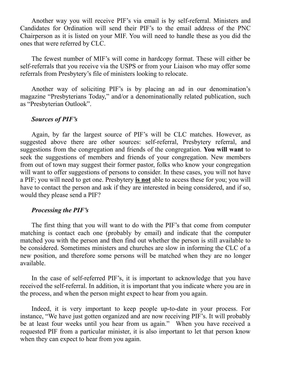Another way you will receive PIF's via email is by self-referral. Ministers and Candidates for Ordination will send their PIF's to the email address of the PNC Chairperson as it is listed on your MIF. You will need to handle these as you did the ones that were referred by CLC.

The fewest number of MIF's will come in hardcopy format. These will either be self-referrals that you receive via the USPS or from your Liaison who may offer some referrals from Presbytery's file of ministers looking to relocate.

Another way of soliciting PIF's is by placing an ad in our denomination's magazine "Presbyterians Today," and/or a denominationally related publication, such as "Presbyterian Outlook".

#### *Sources of PIF's*

Again, by far the largest source of PIF's will be CLC matches. However, as suggested above there are other sources: self-referral, Presbytery referral, and suggestions from the congregation and friends of the congregation. **You will want** to seek the suggestions of members and friends of your congregation. New members from out of town may suggest their former pastor, folks who know your congregation will want to offer suggestions of persons to consider. In these cases, you will not have a PIF; you will need to get one. Presbytery **is not** able to access these for you; you will have to contact the person and ask if they are interested in being considered, and if so, would they please send a PIF?

#### *Processing the PIF's*

The first thing that you will want to do with the PIF's that come from computer matching is contact each one (probably by email) and indicate that the computer matched you with the person and then find out whether the person is still available to be considered. Sometimes ministers and churches are slow in informing the CLC of a new position, and therefore some persons will be matched when they are no longer available.

In the case of self-referred PIF's, it is important to acknowledge that you have received the self-referral. In addition, it is important that you indicate where you are in the process, and when the person might expect to hear from you again.

Indeed, it is very important to keep people up-to-date in your process. For instance, "We have just gotten organized and are now receiving PIF's. It will probably be at least four weeks until you hear from us again." When you have received a requested PIF from a particular minister, it is also important to let that person know when they can expect to hear from you again.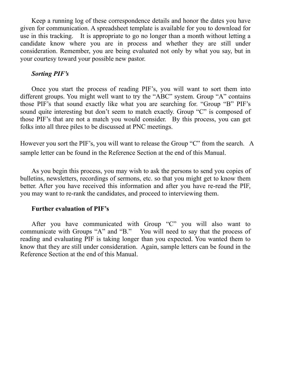Keep a running log of these correspondence details and honor the dates you have given for communication. A spreadsheet template is available for you to download for use in this tracking. It is appropriate to go no longer than a month without letting a candidate know where you are in process and whether they are still under consideration. Remember, you are being evaluated not only by what you say, but in your courtesy toward your possible new pastor.

#### *Sorting PIF's*

Once you start the process of reading PIF's, you will want to sort them into different groups. You might well want to try the "ABC" system. Group "A" contains those PIF's that sound exactly like what you are searching for. "Group "B" PIF's sound quite interesting but don't seem to match exactly. Group "C" is composed of those PIF's that are not a match you would consider. By this process, you can get folks into all three piles to be discussed at PNC meetings.

However you sort the PIF's, you will want to release the Group "C" from the search. A sample letter can be found in the Reference Section at the end of this Manual.

As you begin this process, you may wish to ask the persons to send you copies of bulletins, newsletters, recordings of sermons, etc. so that you might get to know them better. After you have received this information and after you have re-read the PIF, you may want to re-rank the candidates, and proceed to interviewing them.

#### **Further evaluation of PIF's**

After you have communicated with Group "C" you will also want to communicate with Groups "A" and "B." You will need to say that the process of reading and evaluating PIF is taking longer than you expected. You wanted them to know that they are still under consideration. Again, sample letters can be found in the Reference Section at the end of this Manual.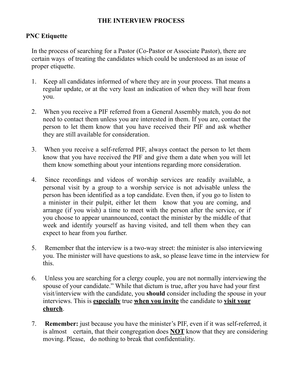## <span id="page-17-0"></span>**THE INTERVIEW PROCESS**

# **PNC Etiquette**

In the process of searching for a Pastor (Co-Pastor or Associate Pastor), there are certain ways of treating the candidates which could be understood as an issue of proper etiquette.

- 1. Keep all candidates informed of where they are in your process. That means a regular update, or at the very least an indication of when they will hear from you.
- 2. When you receive a PIF referred from a General Assembly match, you do not need to contact them unless you are interested in them. If you are, contact the person to let them know that you have received their PIF and ask whether they are still available for consideration.
- 3. When you receive a self-referred PIF, always contact the person to let them know that you have received the PIF and give them a date when you will let them know something about your intentions regarding more consideration.
- 4. Since recordings and videos of worship services are readily available, a personal visit by a group to a worship service is not advisable unless the person has been identified as a top candidate. Even then, if you go to listen to a minister in their pulpit, either let them know that you are coming, and arrange (if you wish) a time to meet with the person after the service, or if you choose to appear unannounced, contact the minister by the middle of that week and identify yourself as having visited, and tell them when they can expect to hear from you further.
- 5. Remember that the interview is a two-way street: the minister is also interviewing you. The minister will have questions to ask, so please leave time in the interview for this.
- 6. Unless you are searching for a clergy couple, you are not normally interviewing the spouse of your candidate." While that dictum is true, after you have had your first visit/interview with the candidate, you **should** consider including the spouse in your interviews. This is **especially** true **when you invite** the candidate to **visit your church**.
- 7. **Remember:** just because you have the minister's PIF, even if it was self-referred, it is almost certain, that their congregation does **NOT** know that they are considering moving. Please, do nothing to break that confidentiality.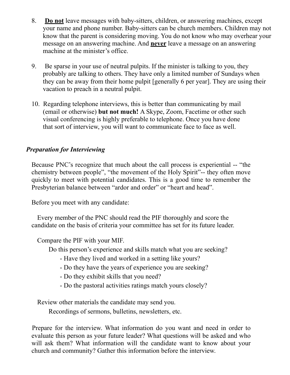- 8. **Do not** leave messages with baby-sitters, children, or answering machines, except your name and phone number. Baby-sitters can be church members. Children may not know that the parent is considering moving. You do not know who may overhear your message on an answering machine. And **never** leave a message on an answering machine at the minister's office.
- 9. Be sparse in your use of neutral pulpits. If the minister is talking to you, they probably are talking to others. They have only a limited number of Sundays when they can be away from their home pulpit [generally 6 per year]. They are using their vacation to preach in a neutral pulpit.
- 10. Regarding telephone interviews, this is better than communicating by mail (email or otherwise) **but not much!** A Skype, Zoom, Facetime or other such visual conferencing is highly preferable to telephone. Once you have done that sort of interview, you will want to communicate face to face as well.

# *Preparation for Interviewing*

Because PNC's recognize that much about the call process is experiential -- "the chemistry between people", "the movement of the Holy Spirit"-- they often move quickly to meet with potential candidates. This is a good time to remember the Presbyterian balance between "ardor and order" or "heart and head".

Before you meet with any candidate:

Every member of the PNC should read the PIF thoroughly and score the candidate on the basis of criteria your committee has set for its future leader.

Compare the PIF with your MIF.

Do this person's experience and skills match what you are seeking?

- Have they lived and worked in a setting like yours?
- Do they have the years of experience you are seeking?
- Do they exhibit skills that you need?
- Do the pastoral activities ratings match yours closely?

Review other materials the candidate may send you.

Recordings of sermons, bulletins, newsletters, etc.

Prepare for the interview. What information do you want and need in order to evaluate this person as your future leader? What questions will be asked and who will ask them? What information will the candidate want to know about your church and community? Gather this information before the interview.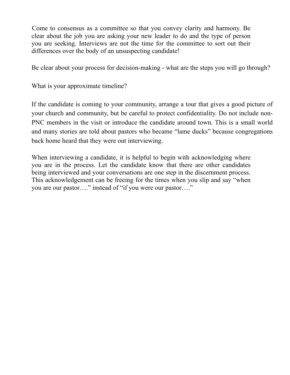Come to consensus as a committee so that you convey clarity and harmony. Be clear about the job you are asking your new leader to do and the type of person you are seeking. Interviews are not the time for the committee to sort out their differences over the body of an unsuspecting candidate!

Be clear about your process for decision-making - what are the steps you will go through?

What is your approximate timeline?

If the candidate is coming to your community, arrange a tour that gives a good picture of your church and community, but be careful to protect confidentiality. Do not include non-PNC members in the visit or introduce the candidate around town. This is a small world and many stories are told about pastors who became "lame ducks" because congregations back home heard that they were out interviewing.

When interviewing a candidate, it is helpful to begin with acknowledging where you are in the process. Let the candidate know that there are other candidates being interviewed and your conversations are one step in the discernment process. This acknowledgement can be freeing for the times when you slip and say "when you are our pastor…." instead of "if you were our pastor…."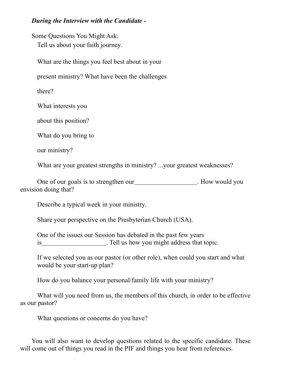## *During the Interview with the Candidate -*

Some Questions You Might Ask: Tell us about your faith journey.

What are the things you feel best about in your

present ministry? What have been the challenges

there?

What interests you

about this position?

What do you bring to

our ministry?

What are your greatest strengths in ministry? ...your greatest weaknesses?

One of our goals is to strengthen our . How would you envision doing that?

Describe a typical week in your ministry.

Share your perspective on the Presbyterian Church (USA).

One of the issues our Session has debated in the past few years is . Tell us how you might address that topic.

If we selected you as our pastor (or other role), when could you start and what would be your start-up plan?

How do you balance your personal/family life with your ministry?

What will you need from us, the members of this church, in order to be effective as our pastor?

What questions or concerns do you have?

You will also want to develop questions related to the specific candidate. These will come out of things you read in the PIF and things you hear from references.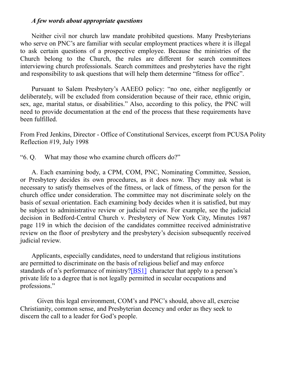#### *A few words about appropriate questions*

Neither civil nor church law mandate prohibited questions. Many Presbyterians who serve on PNC's are familiar with secular employment practices where it is illegal to ask certain questions of a prospective employee. Because the ministries of the Church belong to the Church, the rules are different for search committees interviewing church professionals. Search committees and presbyteries have the right and responsibility to ask questions that will help them determine "fitness for office".

Pursuant to Salem Presbytery's AAEEO policy: "no one, either negligently or deliberately, will be excluded from consideration because of their race, ethnic origin, sex, age, marital status, or disabilities." Also, according to this policy, the PNC will need to provide documentation at the end of the process that these requirements have been fulfilled.

From Fred Jenkins, Director - Office of Constitutional Services, excerpt from PCUSA Polity Reflection #19, July 1998

"6. Q. What may those who examine church officers do?"

A. Each examining body, a CPM, COM, PNC, Nominating Committee, Session, or Presbytery decides its own procedures, as it does now. They may ask what is necessary to satisfy themselves of the fitness, or lack of fitness, of the person for the church office under consideration. The committee may not discriminate solely on the basis of sexual orientation. Each examining body decides when it is satisfied, but may be subject to administrative review or judicial review. For example, see the judicial decision in Bedford-Central Church v. Presbytery of New York City, Minutes 1987 page 119 in which the decision of the candidates committee received administrative review on the floor of presbytery and the presbytery's decision subsequently received judicial review.

Applicants, especially candidates, need to understand that religious institutions are permitted to discriminate on the basis of religious belief and may enforce standards of n's performance of ministry?[BS1] character that apply to a person's private life to a degree that is not legally permitted in secular occupations and professions."

Given this legal environment, COM's and PNC's should, above all, exercise Christianity, common sense, and Presbyterian decency and order as they seek to discern the call to a leader for God's people.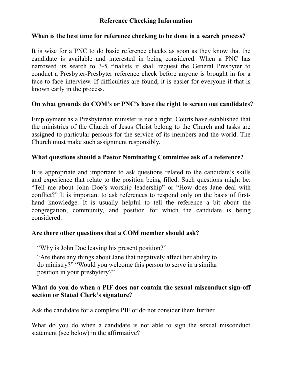# **Reference Checking Information**

## **When is the best time for reference checking to be done in a search process?**

It is wise for a PNC to do basic reference checks as soon as they know that the candidate is available and interested in being considered. When a PNC has narrowed its search to 3-5 finalists it shall request the General Presbyter to conduct a Presbyter-Presbyter reference check before anyone is brought in for a face-to-face interview. If difficulties are found, it is easier for everyone if that is known early in the process.

## **On what grounds do COM's or PNC's have the right to screen out candidates?**

Employment as a Presbyterian minister is not a right. Courts have established that the ministries of the Church of Jesus Christ belong to the Church and tasks are assigned to particular persons for the service of its members and the world. The Church must make such assignment responsibly.

## **What questions should a Pastor Nominating Committee ask of a reference?**

It is appropriate and important to ask questions related to the candidate's skills and experience that relate to the position being filled. Such questions might be: "Tell me about John Doe's worship leadership" or "How does Jane deal with conflict?" It is important to ask references to respond only on the basis of firsthand knowledge. It is usually helpful to tell the reference a bit about the congregation, community, and position for which the candidate is being considered.

# **Are there other questions that a COM member should ask?**

"Why is John Doe leaving his present position?"

"Are there any things about Jane that negatively affect her ability to do ministry?" "Would you welcome this person to serve in a similar position in your presbytery?"

## **What do you do when a PIF does not contain the sexual misconduct sign-off section or Stated Clerk's signature?**

Ask the candidate for a complete PIF or do not consider them further.

What do you do when a candidate is not able to sign the sexual misconduct statement (see below) in the affirmative?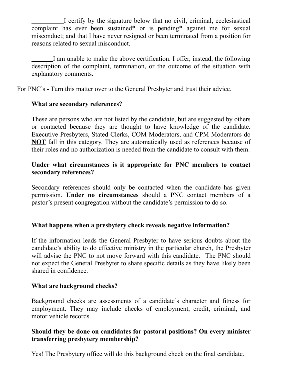I certify by the signature below that no civil, criminal, ecclesiastical complaint has ever been sustained\* or is pending\* against me for sexual misconduct; and that I have never resigned or been terminated from a position for reasons related to sexual misconduct.

 I am unable to make the above certification. I offer, instead, the following description of the complaint, termination, or the outcome of the situation with explanatory comments.

For PNC's - Turn this matter over to the General Presbyter and trust their advice.

# **What are secondary references?**

These are persons who are not listed by the candidate, but are suggested by others or contacted because they are thought to have knowledge of the candidate. Executive Presbyters, Stated Clerks, COM Moderators, and CPM Moderators do **NOT** fall in this category. They are automatically used as references because of their roles and no authorization is needed from the candidate to consult with them.

## **Under what circumstances is it appropriate for PNC members to contact secondary references?**

Secondary references should only be contacted when the candidate has given permission. **Under no circumstances** should a PNC contact members of a pastor's present congregation without the candidate's permission to do so.

# **What happens when a presbytery check reveals negative information?**

If the information leads the General Presbyter to have serious doubts about the candidate's ability to do effective ministry in the particular church, the Presbyter will advise the PNC to not move forward with this candidate. The PNC should not expect the General Presbyter to share specific details as they have likely been shared in confidence.

# **What are background checks?**

Background checks are assessments of a candidate's character and fitness for employment. They may include checks of employment, credit, criminal, and motor vehicle records.

# **Should they be done on candidates for pastoral positions? On every minister transferring presbytery membership?**

Yes! The Presbytery office will do this background check on the final candidate.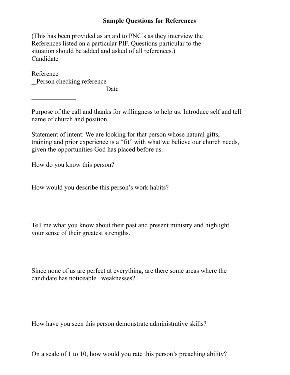## **Sample Questions for References**

(This has been provided as an aid to PNC's as they interview the References listed on a particular PIF. Questions particular to the situation should be added and asked of all references.) Candidate

Reference Person checking reference Date

 $\overline{a}$ 

Purpose of the call and thanks for willingness to help us. Introduce self and tell name of church and position.

Statement of intent: We are looking for that person whose natural gifts, training and prior experience is a "fit" with what we believe our church needs, given the opportunities God has placed before us.

How do you know this person?

How would you describe this person's work habits?

Tell me what you know about their past and present ministry and highlight your sense of their greatest strengths.

Since none of us are perfect at everything, are there some areas where the candidate has noticeable weaknesses?

How have you seen this person demonstrate administrative skills?

On a scale of 1 to 10, how would you rate this person's preaching ability?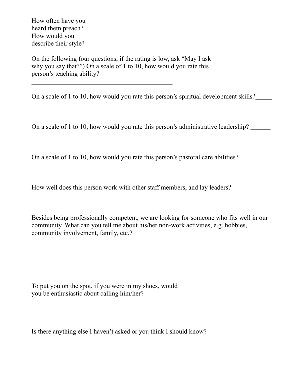How often have you heard them preach? How would you describe their style?

 $\overline{a}$ 

On the following four questions, if the rating is low, ask "May I ask why you say that?") On a scale of 1 to 10, how would you rate this person's teaching ability?

On a scale of 1 to 10, how would you rate this person's spiritual development skills?

On a scale of 1 to 10, how would you rate this person's administrative leadership?

On a scale of 1 to 10, how would you rate this person's pastoral care abilities?

How well does this person work with other staff members, and lay leaders?

Besides being professionally competent, we are looking for someone who fits well in our community. What can you tell me about his/her non-work activities, e.g. hobbies, community involvement, family, etc.?

To put you on the spot, if you were in my shoes, would you be enthusiastic about calling him/her?

Is there anything else I haven't asked or you think I should know?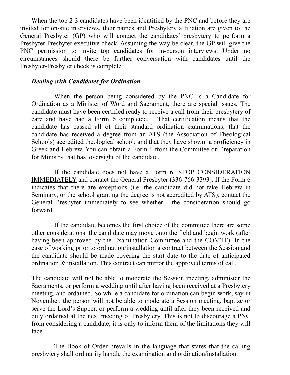When the top 2-3 candidates have been identified by the PNC and before they are invited for on-site interviews, their names and Presbytery affiliation are given to the General Presbyter (GP) who will contact the candidates' presbytery to perform a Presbyter-Presbyter executive check. Assuming the way be clear, the GP will give the PNC permission to invite top candidates for in-person interviews. Under no circumstances should there be further conversation with candidates until the Presbyter-Presbyter check is complete.

#### *Dealing with Candidates for Ordination*

When the person being considered by the PNC is a Candidate for Ordination as a Minister of Word and Sacrament, there are special issues. The candidate must have been certified ready to receive a call from their presbytery of care and have had a Form 6 completed. That certification means that the candidate has passed all of their standard ordination examinations; that the candidate has received a degree from an ATS (the Association of Theological Schools) accredited theological school; and that they have shown a proficiency in Greek and Hebrew. You can obtain a Form 6 from the Committee on Preparation for Ministry that has oversight of the candidate.

If the candidate does not have a Form 6, STOP CONSIDERATION IMMEDIATELY and contact the General Presbyter (336-766-3393). If the Form 6 indicates that there are exceptions (i.e. the candidate did not take Hebrew in Seminary, or the school granting the degree is not accredited by ATS), contact the General Presbyter immediately to see whether the consideration should go forward.

If the candidate becomes the first choice of the committee there are some other considerations: the candidate may move onto the field and begin work (after having been approved by the Examination Committee and the COMTF). In the case of working prior to ordination/installation a contract between the Session and the candidate should be made covering the start date to the date of anticipated ordination & installation. This contract can mirror the approved terms of call.

The candidate will not be able to moderate the Session meeting, administer the Sacraments, or perform a wedding until after having been received at a Presbytery meeting, and ordained. So while a candidate for ordination can begin work, say in November, the person will not be able to moderate a Session meeting, baptize or serve the Lord's Supper, or perform a wedding until after they been received and duly ordained at the next meeting of Presbytery. This is not to discourage a PNC from considering a candidate; it is only to inform them of the limitations they will face.

The Book of Order prevails in the language that states that the calling presbytery shall ordinarily handle the examination and ordination/installation.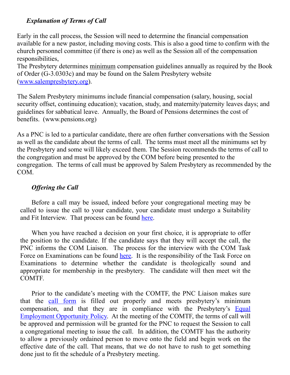# *Explanation of Terms of Call*

Early in the call process, the Session will need to determine the financial compensation available for a new pastor, including moving costs. This is also a good time to confirm with the church personnel committee (if there is one) as well as the Session all of the compensation responsibilities,

The Presbytery determines minimum compensation guidelines annually as required by the Book of Order (G-3.0303c) and may be found on the Salem Presbytery website ([www.salempresbytery.org](http://www.salempresbytery.org/)).

The Salem Presbytery minimums include financial compensation (salary, housing, social security offset, continuing education); vacation, study, and maternity/paternity leaves days; and guidelines for sabbatical leave. Annually, the Board of Pensions determines the cost of benefits. (www.pensions.org)

As a PNC is led to a particular candidate, there are often further conversations with the Session as well as the candidate about the terms of call. The terms must meet all the minimums set by the Presbytery and some will likely exceed them. The Session recommends the terms of call to the congregation and must be approved by the COM before being presented to the congregation. The terms of call must be approved by Salem Presbytery as recommended by the COM.

## *Offering the Call*

Before a call may be issued, indeed before your congregational meeting may be called to issue the call to your candidate, your candidate must undergo a Suitability and Fit Interview. That process can be found [here.](https://www.salempresbytery.org/_files/ugd/0414f6_7c09e3aa0fd14f38b286b16edae10fe8.pdf)

When you have reached a decision on your first choice, it is appropriate to offer the position to the candidate. If the candidate says that they will accept the call, the PNC informs the COM Liaison. The process for the interview with the COM Task Force on Examinations can be found [here.](https://www.salempresbytery.org/_files/ugd/0414f6_ef0df46390b94d98b3a324faaa6f649d.pdf) It is the responsibility of the Task Force on Examinations to determine whether the candidate is theologically sound and appropriate for membership in the presbytery. The candidate will then meet wit the COMTF.

Prior to the candidate's meeting with the COMTF, the PNC Liaison makes sure that the [call form](https://www.salempresbytery.org/_files/ugd/0414f6_24c9dd61d1054fc08c7f1a9419b2518c.pdf) is filled out properly and meets presbytery's minimum compensation, and that they are in compliance with the Presbytery's [Equal](https://www.salempresbytery.org/_files/ugd/0414f6_eefbe5dabc8746e3b1a25cf564ae062f.pdf) [Employment Opportunity Policy.](https://www.salempresbytery.org/_files/ugd/0414f6_eefbe5dabc8746e3b1a25cf564ae062f.pdf) At the meeting of the COMTF, the terms of call will be approved and permission will be granted for the PNC to request the Session to call a congregational meeting to issue the call. In addition, the COMTF has the authority to allow a previously ordained person to move onto the field and begin work on the effective date of the call. That means, that we do not have to rush to get something done just to fit the schedule of a Presbytery meeting.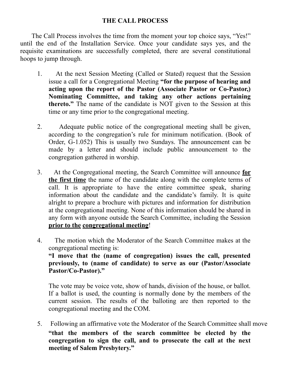## <span id="page-28-0"></span>**THE CALL PROCESS**

The Call Process involves the time from the moment your top choice says, "Yes!" until the end of the Installation Service. Once your candidate says yes, and the requisite examinations are successfully completed, there are several constitutional hoops to jump through.

- 1. At the next Session Meeting (Called or Stated) request that the Session issue a call for a Congregational Meeting **"for the purpose of hearing and acting upon the report of the Pastor (Associate Pastor or Co-Pastor,) Nominating Committee, and taking any other actions pertaining thereto."** The name of the candidate is NOT given to the Session at this time or any time prior to the congregational meeting.
- 2. Adequate public notice of the congregational meeting shall be given, according to the congregation's rule for minimum notification. (Book of Order, G-1.052) This is usually two Sundays. The announcement can be made by a letter and should include public announcement to the congregation gathered in worship.
- 3. At the Congregational meeting, the Search Committee will announce **for the first time** the name of the candidate along with the complete terms of call. It is appropriate to have the entire committee speak, sharing information about the candidate and the candidate's family. It is quite alright to prepare a brochure with pictures and information for distribution at the congregational meeting. None of this information should be shared in any form with anyone outside the Search Committee, including the Session **prior to the congregational meeting**!
- 4. The motion which the Moderator of the Search Committee makes at the congregational meeting is: **"I move that the (name of congregation) issues the call, presented previously, to (name of candidate) to serve as our (Pastor/Associate Pastor/Co-Pastor)."**

The vote may be voice vote, show of hands, division of the house, or ballot. If a ballot is used, the counting is normally done by the members of the current session. The results of the balloting are then reported to the congregational meeting and the COM.

5. Following an affirmative vote the Moderator of the Search Committee shall move **"that the members of the search committee be elected by the congregation to sign the call, and to prosecute the call at the next meeting of Salem Presbytery."**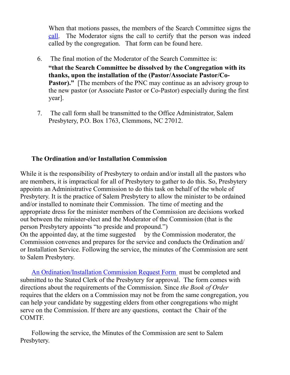When that motions passes, the members of the Search Committee signs the [call.](https://www.salempresbytery.org/_files/ugd/0414f6_24c9dd61d1054fc08c7f1a9419b2518c.pdf) The Moderator signs the call to certify that the person was indeed called by the congregation. That form can be found here.

- 6. The final motion of the Moderator of the Search Committee is: **"that the Search Committee be dissolved by the Congregation with its thanks, upon the installation of the (Pastor/Associate Pastor/Co-Pastor)."** [The members of the PNC may continue as an advisory group to the new pastor (or Associate Pastor or Co-Pastor) especially during the first year].
- 7. The call form shall be transmitted to the Office Administrator, Salem Presbytery, P.O. Box 1763, Clemmons, NC 27012.

## **The Ordination and/or Installation Commission**

While it is the responsibility of Presbytery to ordain and/or install all the pastors who are members, it is impractical for all of Presbytery to gather to do this. So, Presbytery appoints an Administrative Commission to do this task on behalf of the whole of Presbytery. It is the practice of Salem Presbytery to allow the minister to be ordained and/or installed to nominate their Commission. The time of meeting and the appropriate dress for the minister members of the Commission are decisions worked out between the minister-elect and the Moderator of the Commission (that is the person Presbytery appoints "to preside and propound.") On the appointed day, at the time suggested by the Commission moderator, the Commission convenes and prepares for the service and conducts the Ordination and/ or Installation Service. Following the service, the minutes of the Commission are sent to Salem Presbytery.

[An Ordination/Installation Commission Request Form](https://www.salempresbytery.org/_files/ugd/0414f6_def7bdf3f471465090f68844b39e270e.pdf) must be completed and submitted to the Stated Clerk of the Presbytery for approval. The form comes with directions about the requirements of the Commission. Since *the Book of Order*  requires that the elders on a Commission may not be from the same congregation, you can help your candidate by suggesting elders from other congregations who might serve on the Commission. If there are any questions, contact the Chair of the COMTF.

Following the service, the Minutes of the Commission are sent to Salem Presbytery.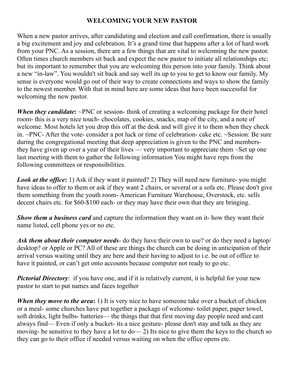# <span id="page-30-0"></span> **WELCOMING YOUR NEW PASTOR**

When a new pastor arrives, after candidating and election and call confirmation, there is usually a big excitement and joy and celebration. It's a grand time that happens after a lot of hard work from your PNC. As a session, there are a few things that are vital to welcoming the new pastor. Often times church members sit back and expect the new pastor to initiate all relationships etc; but its important to remember that you are welcoming this person into your family. Think about a new "in-law". You wouldn't sit back and say well its up to you to get to know our family. My sense is everyone would go out of their way to create connections and ways to show the family to the newest member. With that in mind here are some ideas that have been successful for welcoming the new pastor.

*When they candidate*: ~PNC or session- think of creating a welcoming package for their hotel room- this is a very nice touch- chocolates, cookies, snacks, map of the city, and a note of welcome. Most hotels let you drop this off at the desk and will give it to them when they check in. ~PNC- After the vote- consider a pot luck or time of celebration- cake etc. ~Session: Be sure during the congregational meeting that deep appreciation is given to the PNC and membersthey have given up over a year of their lives — very important to appreciate them ~Set up one last meeting with them to gather the following information You might have reps from the following committees or responsibilities.

*Look at the office***:** 1) Ask if they want it painted? 2) They will need new furniture- you might have ideas to offer to them or ask if they want 2 chairs, or several or a sofa etc. Please don't give them something from the youth room- American Furniture Warehouse, Overstock, etc. sells decent chairs etc. for \$60-\$100 each- or they may have their own that they are bringing.

*Show them a business card* and capture the information they want on it- how they want their name listed, cell phone yes or no etc.

*Ask them about their computer needs*- do they have their own to use? or do they need a laptop/ desktop? or Apple or PC? All of these are things the church can be doing in anticipation of their arrival versus waiting until they are here and their having to adjust to i.e. be out of office to have it painted, or can't get onto accounts because computer not ready to go etc.

*Pictorial Directory*: if you have one, and if it is relatively current, it is helpful for your new pastor to start to put names and faces together

*When they move to the area*: 1) It is very nice to have someone take over a bucket of chicken or a meal- some churches have put together a package of welcome- toilet paper, paper towel, soft drinks, light bulbs- batteries— the things that that first moving day people need and cant always find— Even if only a bucket- its a nice gesture- please don't stay and talk as they are moving- be sensitive to they have a lot to do— 2) Its nice to give them the keys to the church so they can go to their office if needed versus waiting on when the office opens etc.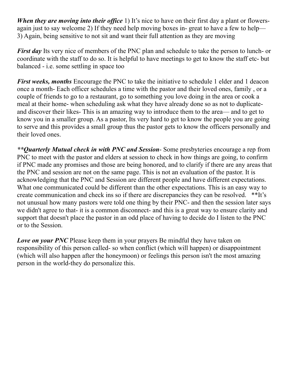*When they are moving into their office* 1) It's nice to have on their first day a plant or flowersagain just to say welcome 2) If they need help moving boxes in- great to have a few to help— 3) Again, being sensitive to not sit and want their full attention as they are moving

*First day* Its very nice of members of the PNC plan and schedule to take the person to lunch- or coordinate with the staff to do so. It is helpful to have meetings to get to know the staff etc- but balanced - i.e. some settling in space too

*First weeks, months* Encourage the PNC to take the initiative to schedule 1 elder and 1 deacon once a month- Each officer schedules a time with the pastor and their loved ones, family , or a couple of friends to go to a restaurant, go to something you love doing in the area or cook a meal at their home- when scheduling ask what they have already done so as not to duplicateand discover their likes- This is an amazing way to introduce them to the area— and to get to know you in a smaller group. As a pastor, Its very hard to get to know the people you are going to serve and this provides a small group thus the pastor gets to know the officers personally and their loved ones.

*\*\*Quarterly Mutual check in with PNC and Session*- Some presbyteries encourage a rep from PNC to meet with the pastor and elders at session to check in how things are going, to confirm if PNC made any promises and those are being honored, and to clarify if there are any areas that the PNC and session are not on the same page. This is not an evaluation of the pastor. It is acknowledging that the PNC and Session are different people and have different expectations. What one communicated could be different than the other expectations. This is an easy way to create communication and check ins so if there are discrepancies they can be resolved. \*\*It's not unusual how many pastors were told one thing by their PNC- and then the session later says we didn't agree to that- it is a common disconnect- and this is a great way to ensure clarity and support that doesn't place the pastor in an odd place of having to decide do I listen to the PNC or to the Session.

*Love on your PNC* Please keep them in your prayers Be mindful they have taken on responsibility of this person called- so when conflict (which will happen) or disappointment (which will also happen after the honeymoon) or feelings this person isn't the most amazing person in the world-they do personalize this.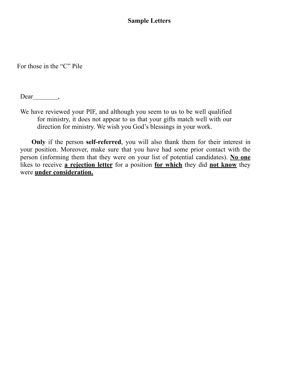## <span id="page-32-0"></span>**Sample Letters**

For those in the "C" Pile

 $Dear \_$ 

We have reviewed your PIF, and although you seem to us to be well qualified for ministry, it does not appear to us that your gifts match well with our direction for ministry. We wish you God's blessings in your work.

**Only** if the person **self-referred**, you will also thank them for their interest in your position. Moreover, make sure that you have had some prior contact with the person (informing them that they were on your list of potential candidates). **No one** likes to receive **a rejection letter** for a position **for which** they did **not know** they were **under consideration.**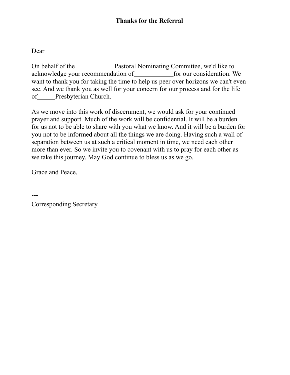On behalf of the Pastoral Nominating Committee, we'd like to acknowledge your recommendation of for our consideration. We want to thank you for taking the time to help us peer over horizons we can't even see. And we thank you as well for your concern for our process and for the life of Presbyterian Church.

As we move into this work of discernment, we would ask for your continued prayer and support. Much of the work will be confidential. It will be a burden for us not to be able to share with you what we know. And it will be a burden for you not to be informed about all the things we are doing. Having such a wall of separation between us at such a critical moment in time, we need each other more than ever. So we invite you to covenant with us to pray for each other as we take this journey. May God continue to bless us as we go.

Grace and Peace,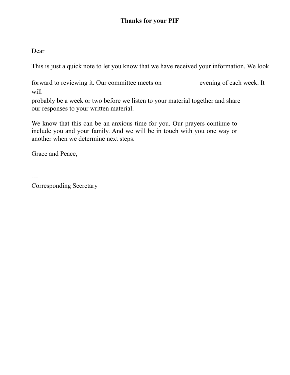This is just a quick note to let you know that we have received your information. We look

forward to reviewing it. Our committee meets on evening of each week. It will

probably be a week or two before we listen to your material together and share our responses to your written material.

We know that this can be an anxious time for you. Our prayers continue to include you and your family. And we will be in touch with you one way or another when we determine next steps.

Grace and Peace,

---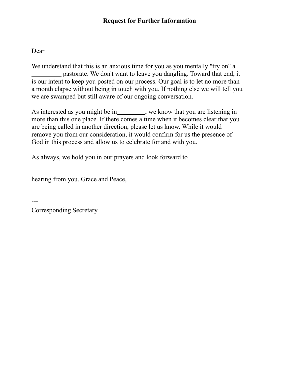We understand that this is an anxious time for you as you mentally "try on" a pastorate. We don't want to leave you dangling. Toward that end, it is our intent to keep you posted on our process. Our goal is to let no more than a month elapse without being in touch with you. If nothing else we will tell you we are swamped but still aware of our ongoing conversation.

As interested as you might be in \_\_\_\_\_\_\_\_, we know that you are listening in more than this one place. If there comes a time when it becomes clear that you are being called in another direction, please let us know. While it would remove you from our consideration, it would confirm for us the presence of God in this process and allow us to celebrate for and with you.

As always, we hold you in our prayers and look forward to

hearing from you. Grace and Peace,

Corresponding Secretary

---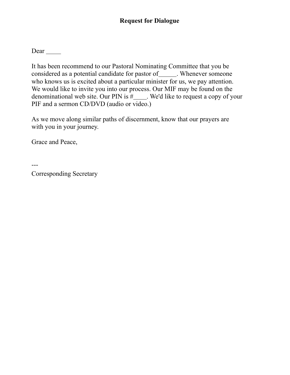# **Request for Dialogue**

Dear

It has been recommend to our Pastoral Nominating Committee that you be considered as a potential candidate for pastor of \_\_\_\_\_\_. Whenever someone who knows us is excited about a particular minister for us, we pay attention. We would like to invite you into our process. Our MIF may be found on the denominational web site. Our PIN is  $\#$  We'd like to request a copy of your PIF and a sermon CD/DVD (audio or video.)

As we move along similar paths of discernment, know that our prayers are with you in your journey.

Grace and Peace,

---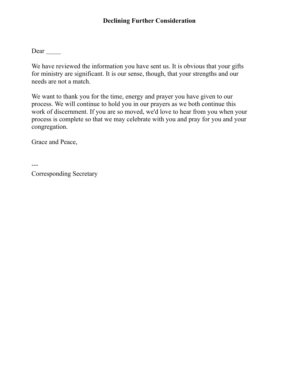We have reviewed the information you have sent us. It is obvious that your gifts for ministry are significant. It is our sense, though, that your strengths and our needs are not a match.

We want to thank you for the time, energy and prayer you have given to our process. We will continue to hold you in our prayers as we both continue this work of discernment. If you are so moved, we'd love to hear from you when your process is complete so that we may celebrate with you and pray for you and your congregation.

Grace and Peace,

---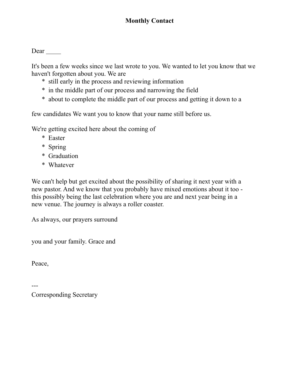It's been a few weeks since we last wrote to you. We wanted to let you know that we haven't forgotten about you. We are

- \* still early in the process and reviewing information
- \* in the middle part of our process and narrowing the field
- \* about to complete the middle part of our process and getting it down to a

few candidates We want you to know that your name still before us.

We're getting excited here about the coming of

- \* Easter
- \* Spring
- \* Graduation
- \* Whatever

We can't help but get excited about the possibility of sharing it next year with a new pastor. And we know that you probably have mixed emotions about it too this possibly being the last celebration where you are and next year being in a new venue. The journey is always a roller coaster.

As always, our prayers surround

you and your family. Grace and

Peace,

---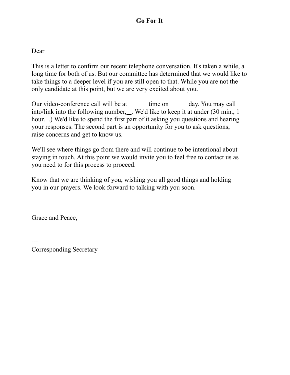# **Go For It**

Dear

This is a letter to confirm our recent telephone conversation. It's taken a while, a long time for both of us. But our committee has determined that we would like to take things to a deeper level if you are still open to that. While you are not the only candidate at this point, but we are very excited about you.

Our video-conference call will be at\_\_\_\_\_\_\_\_ time on day. You may call into/link into the following number, ... We'd like to keep it at under (30 min., 1) hour...) We'd like to spend the first part of it asking you questions and hearing your responses. The second part is an opportunity for you to ask questions, raise concerns and get to know us.

We'll see where things go from there and will continue to be intentional about staying in touch. At this point we would invite you to feel free to contact us as you need to for this process to proceed.

Know that we are thinking of you, wishing you all good things and holding you in our prayers. We look forward to talking with you soon.

Grace and Peace,

---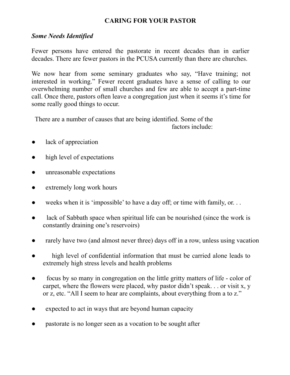# **CARING FOR YOUR PASTOR**

# *Some Needs Identified*

Fewer persons have entered the pastorate in recent decades than in earlier decades. There are fewer pastors in the PCUSA currently than there are churches.

We now hear from some seminary graduates who say, "Have training; not interested in working." Fewer recent graduates have a sense of calling to our overwhelming number of small churches and few are able to accept a part-time call. Once there, pastors often leave a congregation just when it seems it's time for some really good things to occur.

There are a number of causes that are being identified. Some of the factors include:

- lack of appreciation
- high level of expectations
- unreasonable expectations
- extremely long work hours
- weeks when it is 'impossible' to have a day off; or time with family, or. . .
- lack of Sabbath space when spiritual life can be nourished (since the work is constantly draining one's reservoirs)
- rarely have two (and almost never three) days off in a row, unless using vacation
- high level of confidential information that must be carried alone leads to extremely high stress levels and health problems
- focus by so many in congregation on the little gritty matters of life color of carpet, where the flowers were placed, why pastor didn't speak. . . or visit x, y or z, etc. "All I seem to hear are complaints, about everything from a to z."
- expected to act in ways that are beyond human capacity
- pastorate is no longer seen as a vocation to be sought after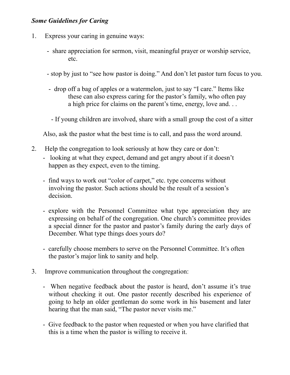## *Some Guidelines for Caring*

- 1. Express your caring in genuine ways:
	- share appreciation for sermon, visit, meaningful prayer or worship service, etc.
	- stop by just to "see how pastor is doing." And don't let pastor turn focus to you.
	- drop off a bag of apples or a watermelon, just to say "I care." Items like these can also express caring for the pastor's family, who often pay a high price for claims on the parent's time, energy, love and. . .
	- If young children are involved, share with a small group the cost of a sitter

Also, ask the pastor what the best time is to call, and pass the word around.

- 2. Help the congregation to look seriously at how they care or don't:
	- looking at what they expect, demand and get angry about if it doesn't happen as they expect, even to the timing.
	- find ways to work out "color of carpet," etc. type concerns without involving the pastor. Such actions should be the result of a session's decision.
	- explore with the Personnel Committee what type appreciation they are expressing on behalf of the congregation. One church's committee provides a special dinner for the pastor and pastor's family during the early days of December. What type things does yours do?
	- carefully choose members to serve on the Personnel Committee. It's often the pastor's major link to sanity and help.
- 3. Improve communication throughout the congregation:
	- When negative feedback about the pastor is heard, don't assume it's true without checking it out. One pastor recently described his experience of going to help an older gentleman do some work in his basement and later hearing that the man said, "The pastor never visits me."
	- Give feedback to the pastor when requested or when you have clarified that this is a time when the pastor is willing to receive it.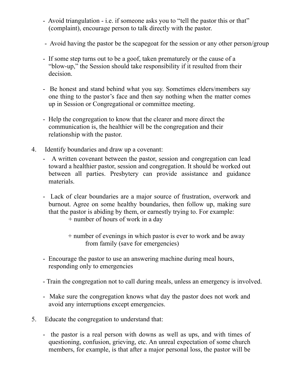- Avoid triangulation i.e. if someone asks you to "tell the pastor this or that" (complaint), encourage person to talk directly with the pastor.
- Avoid having the pastor be the scapegoat for the session or any other person/group
- If some step turns out to be a goof, taken prematurely or the cause of a "blow-up," the Session should take responsibility if it resulted from their decision.
- Be honest and stand behind what you say. Sometimes elders/members say one thing to the pastor's face and then say nothing when the matter comes up in Session or Congregational or committee meeting.
- Help the congregation to know that the clearer and more direct the communication is, the healthier will be the congregation and their relationship with the pastor.
- 4. Identify boundaries and draw up a covenant:
	- A written covenant between the pastor, session and congregation can lead toward a healthier pastor, session and congregation. It should be worked out between all parties. Presbytery can provide assistance and guidance materials.
	- Lack of clear boundaries are a major source of frustration, overwork and burnout. Agree on some healthy boundaries, then follow up, making sure that the pastor is abiding by them, or earnestly trying to. For example:
		- + number of hours of work in a day
		- + number of evenings in which pastor is ever to work and be away from family (save for emergencies)
	- Encourage the pastor to use an answering machine during meal hours, responding only to emergencies
	- Train the congregation not to call during meals, unless an emergency is involved.
	- Make sure the congregation knows what day the pastor does not work and avoid any interruptions except emergencies.
- 5. Educate the congregation to understand that:
	- the pastor is a real person with downs as well as ups, and with times of questioning, confusion, grieving, etc. An unreal expectation of some church members, for example, is that after a major personal loss, the pastor will be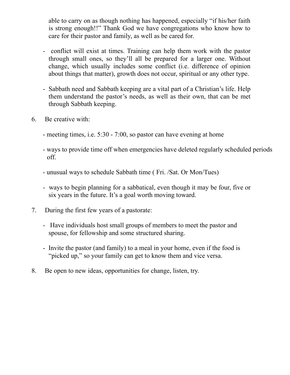able to carry on as though nothing has happened, especially "if his/her faith is strong enough!!" Thank God we have congregations who know how to care for their pastor and family, as well as be cared for.

- conflict will exist at times. Training can help them work with the pastor through small ones, so they'll all be prepared for a larger one. Without change, which usually includes some conflict (i.e. difference of opinion about things that matter), growth does not occur, spiritual or any other type.
- Sabbath need and Sabbath keeping are a vital part of a Christian's life. Help them understand the pastor's needs, as well as their own, that can be met through Sabbath keeping.
- 6. Be creative with:
	- meeting times, i.e. 5:30 7:00, so pastor can have evening at home
	- ways to provide time off when emergencies have deleted regularly scheduled periods off.
	- unusual ways to schedule Sabbath time ( Fri. /Sat. Or Mon/Tues)
	- ways to begin planning for a sabbatical, even though it may be four, five or six years in the future. It's a goal worth moving toward.
- 7. During the first few years of a pastorate:
	- Have individuals host small groups of members to meet the pastor and spouse, for fellowship and some structured sharing.
	- Invite the pastor (and family) to a meal in your home, even if the food is "picked up," so your family can get to know them and vice versa.
- 8. Be open to new ideas, opportunities for change, listen, try.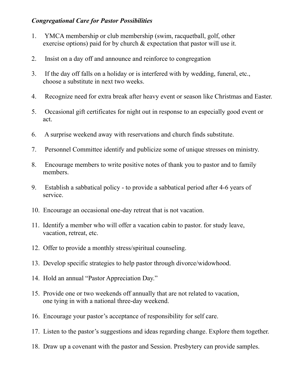# *Congregational Care for Pastor Possibilities*

- 1. YMCA membership or club membership (swim, racquetball, golf, other exercise options) paid for by church & expectation that pastor will use it.
- 2. Insist on a day off and announce and reinforce to congregation
- 3. If the day off falls on a holiday or is interfered with by wedding, funeral, etc., choose a substitute in next two weeks.
- 4. Recognize need for extra break after heavy event or season like Christmas and Easter.
- 5. Occasional gift certificates for night out in response to an especially good event or act.
- 6. A surprise weekend away with reservations and church finds substitute.
- 7. Personnel Committee identify and publicize some of unique stresses on ministry.
- 8. Encourage members to write positive notes of thank you to pastor and to family members.
- 9. Establish a sabbatical policy to provide a sabbatical period after 4-6 years of service.
- 10. Encourage an occasional one-day retreat that is not vacation.
- 11. Identify a member who will offer a vacation cabin to pastor. for study leave, vacation, retreat, etc.
- 12. Offer to provide a monthly stress/spiritual counseling.
- 13. Develop specific strategies to help pastor through divorce/widowhood.
- 14. Hold an annual "Pastor Appreciation Day."
- 15. Provide one or two weekends off annually that are not related to vacation, one tying in with a national three-day weekend.
- 16. Encourage your pastor's acceptance of responsibility for self care.
- 17. Listen to the pastor's suggestions and ideas regarding change. Explore them together.
- 18. Draw up a covenant with the pastor and Session. Presbytery can provide samples.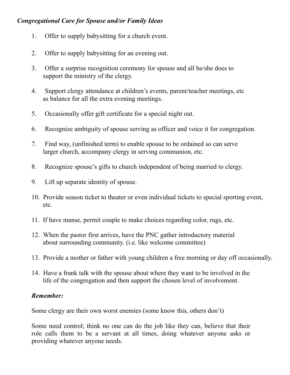# *Congregational Care for Spouse and/or Family Ideas*

- 1. Offer to supply babysitting for a church event.
- 2. Offer to supply babysitting for an evening out.
- 3. Offer a surprise recognition ceremony for spouse and all he/she does to support the ministry of the clergy.
- 4. Support clergy attendance at children's events, parent/teacher meetings, etc as balance for all the extra evening meetings.
- 5. Occasionally offer gift certificate for a special night out.
- 6. Recognize ambiguity of spouse serving as officer and voice it for congregation.
- 7. Find way, (unfinished term) to enable spouse to be ordained so can serve larger church, accompany clergy in serving communion, etc.
- 8. Recognize spouse's gifts to church independent of being married to clergy.
- 9. Lift up separate identity of spouse.
- 10. Provide season ticket to theater or even individual tickets to special sporting event, etc.
- 11. If have manse, permit couple to make choices regarding color, rugs, etc.
- 12. When the pastor first arrives, have the PNC gather introductory material about surrounding community. (i.e. like welcome committee)
- 13. Provide a mother or father with young children a free morning or day off occasionally.
- 14. Have a frank talk with the spouse about where they want to be involved in the life of the congregation and then support the chosen level of involvement.

# *Remember:*

Some clergy are their own worst enemies (some know this, others don't)

Some need control; think no one can do the job like they can, believe that their role calls them to be a servant at all times, doing whatever anyone asks or providing whatever anyone needs.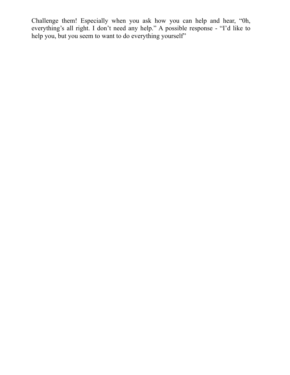Challenge them! Especially when you ask how you can help and hear, "0h, everything's all right. I don't need any help." A possible response - "I'd like to help you, but you seem to want to do everything yourself"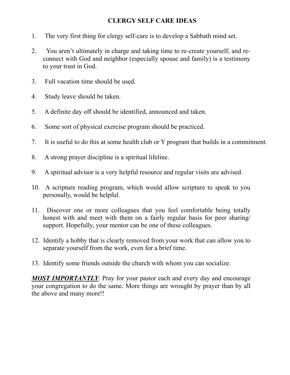# <span id="page-47-0"></span>**CLERGY SELF CARE IDEAS**

- 1. The very first thing for clergy self-care is to develop a Sabbath mind set.
- 2. You aren't ultimately in charge and taking time to re-create yourself, and reconnect with God and neighbor (especially spouse and family) is a testimony to your trust in God.
- 3. Full vacation time should be used.
- 4. Study leave should be taken.
- 5. A definite day off should be identified, announced and taken.
- 6. Some sort of physical exercise program should be practiced.
- 7. It is useful to do this at some health club or Y program that builds in a commitment.
- 8. A strong prayer discipline is a spiritual lifeline.
- 9. A spiritual advisor is a very helpful resource and regular visits are advised.
- 10. A scripture reading program, which would allow scripture to speak to you personally, would be helpful.
- 11. Discover one or more colleagues that you feel comfortable being totally honest with and meet with them on a fairly regular basis for peer sharing/ support. Hopefully, your mentor can be one of these colleagues.
- 12. Identify a hobby that is clearly removed from your work that can allow you to separate yourself from the work, even for a brief time.
- 13. Identify some friends outside the church with whom you can socialize.

*MOST IMPORTANTLY*: Pray for your pastor each and every day and encourage your congregation to do the same. More things are wrought by prayer than by all the above and many more!!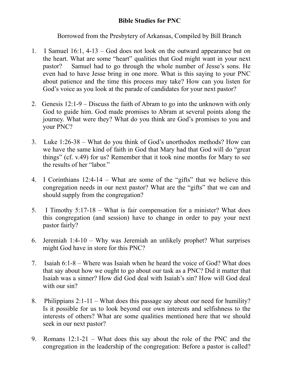# **Bible Studies for PNC**

Borrowed from the Presbytery of Arkansas, Compiled by Bill Branch

- 1. I Samuel 16:1, 4-13 God does not look on the outward appearance but on the heart. What are some "heart" qualities that God might want in your next pastor? Samuel had to go through the whole number of Jesse's sons. He even had to have Jesse bring in one more. What is this saying to your PNC about patience and the time this process may take? How can you listen for God's voice as you look at the parade of candidates for your next pastor?
- 2. Genesis 12:1-9 Discuss the faith of Abram to go into the unknown with only God to guide him. God made promises to Abram at several points along the journey. What were they? What do you think are God's promises to you and your PNC?
- 3. Luke 1:26-38 What do you think of God's unorthodox methods? How can we have the same kind of faith in God that Mary had that God will do "great things" (cf. v.49) for us? Remember that it took nine months for Mary to see the results of her "labor."
- 4. I Corinthians 12:4-14 What are some of the "gifts" that we believe this congregation needs in our next pastor? What are the "gifts" that we can and should supply from the congregation?
- 5. I Timothy 5:17-18 What is fair compensation for a minister? What does this congregation (and session) have to change in order to pay your next pastor fairly?
- 6. Jeremiah 1:4-10 Why was Jeremiah an unlikely prophet? What surprises might God have in store for this PNC?
- 7. Isaiah 6:1-8 Where was Isaiah when he heard the voice of God? What does that say about how we ought to go about our task as a PNC? Did it matter that Isaiah was a sinner? How did God deal with Isaiah's sin? How will God deal with our sin?
- 8. Philippians 2:1-11 What does this passage say about our need for humility? Is it possible for us to look beyond our own interests and selfishness to the interests of others? What are some qualities mentioned here that we should seek in our next pastor?
- 9. Romans 12:1-21 What does this say about the role of the PNC and the congregation in the leadership of the congregation: Before a pastor is called?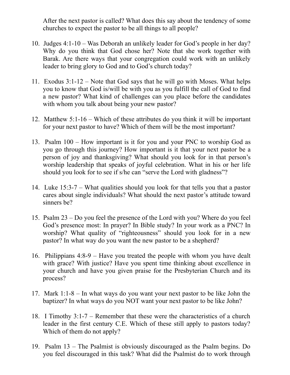After the next pastor is called? What does this say about the tendency of some churches to expect the pastor to be all things to all people?

- 10. Judges 4:1-10 Was Deborah an unlikely leader for God's people in her day? Why do you think that God chose her? Note that she work together with Barak. Are there ways that your congregation could work with an unlikely leader to bring glory to God and to God's church today?
- 11. Exodus 3:1-12 Note that God says that he will go with Moses. What helps you to know that God is/will be with you as you fulfill the call of God to find a new pastor? What kind of challenges can you place before the candidates with whom you talk about being your new pastor?
- 12. Matthew 5:1-16 Which of these attributes do you think it will be important for your next pastor to have? Which of them will be the most important?
- 13. Psalm 100 How important is it for you and your PNC to worship God as you go through this journey? How important is it that your next pastor be a person of joy and thanksgiving? What should you look for in that person's worship leadership that speaks of joyful celebration. What in his or her life should you look for to see if s/he can "serve the Lord with gladness"?
- 14. Luke 15:3-7 What qualities should you look for that tells you that a pastor cares about single individuals? What should the next pastor's attitude toward sinners be?
- 15. Psalm 23 Do you feel the presence of the Lord with you? Where do you feel God's presence most: In prayer? In Bible study? In your work as a PNC? In worship? What quality of "righteousness" should you look for in a new pastor? In what way do you want the new pastor to be a shepherd?
- 16. Philippians 4:8-9 Have you treated the people with whom you have dealt with grace? With justice? Have you spent time thinking about excellence in your church and have you given praise for the Presbyterian Church and its process?
- 17. Mark 1:1-8 In what ways do you want your next pastor to be like John the baptizer? In what ways do you NOT want your next pastor to be like John?
- 18. I Timothy 3:1-7 Remember that these were the characteristics of a church leader in the first century C.E. Which of these still apply to pastors today? Which of them do not apply?
- 19. Psalm 13 The Psalmist is obviously discouraged as the Psalm begins. Do you feel discouraged in this task? What did the Psalmist do to work through